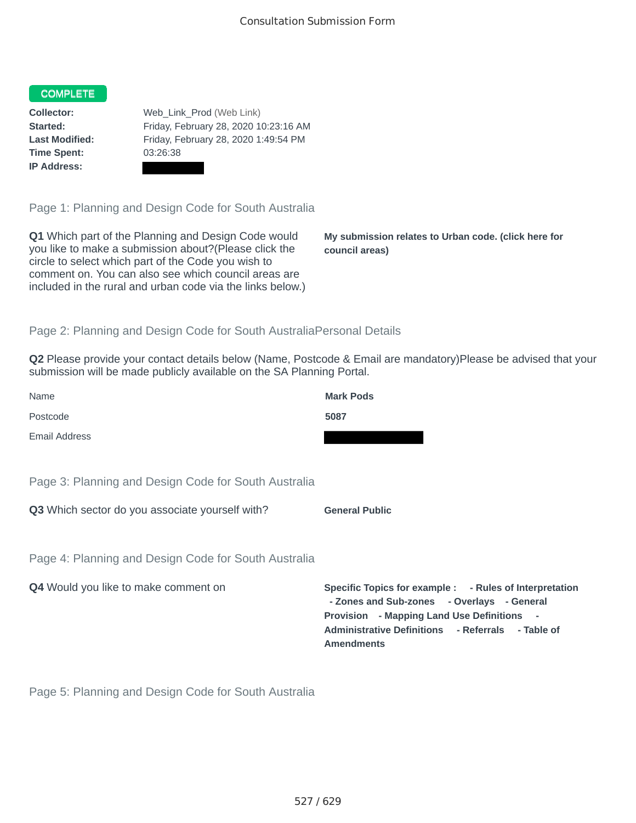#### COMPLETE

**Time Spent:** 03:26:38 **IP Address:**

**Collector:** Web\_Link\_Prod (Web Link) **Started:** Friday, February 28, 2020 10:23:16 AM **Last Modified:** Friday, February 28, 2020 1:49:54 PM

Page 1: Planning and Design Code for South Australia

**Q1** Which part of the Planning and Design Code would you like to make a submission about?(Please click the circle to select which part of the Code you wish to comment on. You can also see which council areas are included in the rural and urban code via the links below.)

**My submission relates to Urban code. (click here for council areas)**

## Page 2: Planning and Design Code for South AustraliaPersonal Details

**Q2** Please provide your contact details below (Name, Postcode & Email are mandatory)Please be advised that your submission will be made publicly available on the SA Planning Portal.

| Name                                                 | <b>Mark Pods</b>                                                                                                                                                                                                              |
|------------------------------------------------------|-------------------------------------------------------------------------------------------------------------------------------------------------------------------------------------------------------------------------------|
| Postcode                                             | 5087                                                                                                                                                                                                                          |
| Email Address                                        |                                                                                                                                                                                                                               |
| Page 3: Planning and Design Code for South Australia |                                                                                                                                                                                                                               |
| Q3 Which sector do you associate yourself with?      | <b>General Public</b>                                                                                                                                                                                                         |
| Page 4: Planning and Design Code for South Australia |                                                                                                                                                                                                                               |
| <b>Q4</b> Would you like to make comment on          | Specific Topics for example : - Rules of Interpretation<br>- Zones and Sub-zones - Overlays - General<br>Provision - Mapping Land Use Definitions -<br>Administrative Definitions - Referrals - Table of<br><b>Amendments</b> |

Page 5: Planning and Design Code for South Australia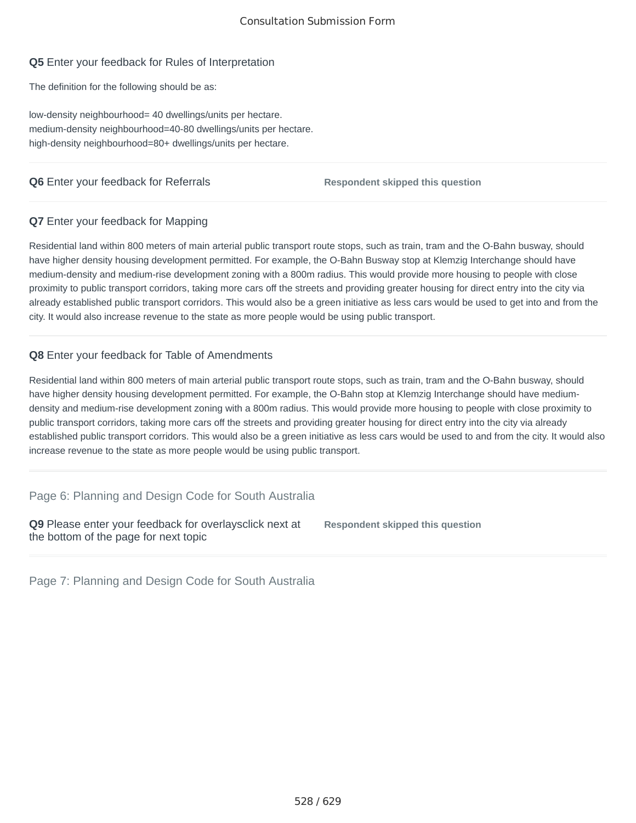## **Q5** Enter your feedback for Rules of Interpretation

The definition for the following should be as:

low-density neighbourhood= 40 dwellings/units per hectare. medium-density neighbourhood=40-80 dwellings/units per hectare. high-density neighbourhood=80+ dwellings/units per hectare.

# **Q6** Enter your feedback for Referrals **Respondent skipped this question**

## **Q7** Enter your feedback for Mapping

Residential land within 800 meters of main arterial public transport route stops, such as train, tram and the O-Bahn busway, should have higher density housing development permitted. For example, the O-Bahn Busway stop at Klemzig Interchange should have medium-density and medium-rise development zoning with a 800m radius. This would provide more housing to people with close proximity to public transport corridors, taking more cars off the streets and providing greater housing for direct entry into the city via already established public transport corridors. This would also be a green initiative as less cars would be used to get into and from the city. It would also increase revenue to the state as more people would be using public transport.

# **Q8** Enter your feedback for Table of Amendments

Residential land within 800 meters of main arterial public transport route stops, such as train, tram and the O-Bahn busway, should have higher density housing development permitted. For example, the O-Bahn stop at Klemzig Interchange should have mediumdensity and medium-rise development zoning with a 800m radius. This would provide more housing to people with close proximity to public transport corridors, taking more cars off the streets and providing greater housing for direct entry into the city via already established public transport corridors. This would also be a green initiative as less cars would be used to and from the city. It would also increase revenue to the state as more people would be using public transport.

## Page 6: Planning and Design Code for South Australia

**Q9** Please enter your feedback for overlaysclick next at the bottom of the page for next topic **Respondent skipped this question**

Page 7: Planning and Design Code for South Australia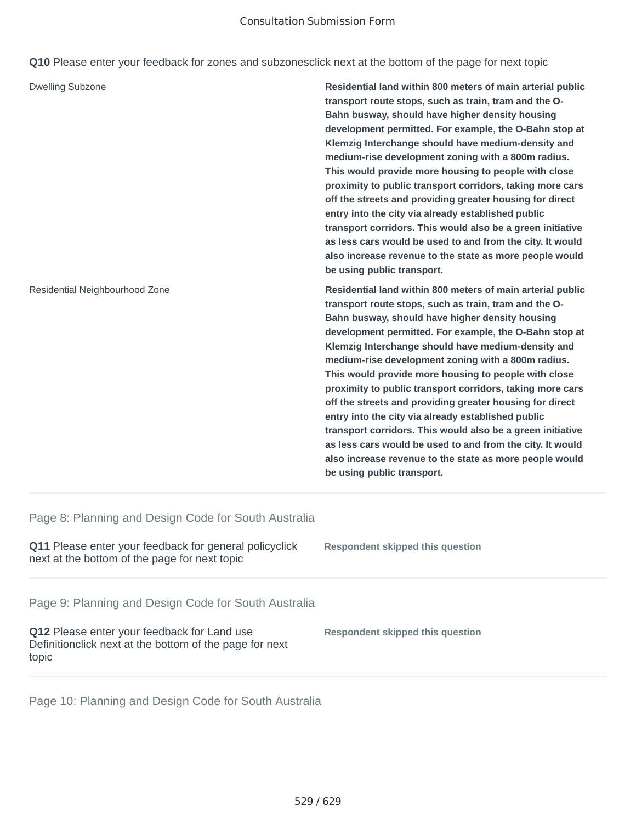### Consultation Submission Form

**Q10** Please enter your feedback for zones and subzonesclick next at the bottom of the page for next topic

| <b>Dwelling Subzone</b>        | Residential land within 800 meters of main arterial public<br>transport route stops, such as train, tram and the O-<br>Bahn busway, should have higher density housing<br>development permitted. For example, the O-Bahn stop at<br>Klemzig Interchange should have medium-density and<br>medium-rise development zoning with a 800m radius.<br>This would provide more housing to people with close<br>proximity to public transport corridors, taking more cars<br>off the streets and providing greater housing for direct<br>entry into the city via already established public<br>transport corridors. This would also be a green initiative<br>as less cars would be used to and from the city. It would<br>also increase revenue to the state as more people would<br>be using public transport. |
|--------------------------------|---------------------------------------------------------------------------------------------------------------------------------------------------------------------------------------------------------------------------------------------------------------------------------------------------------------------------------------------------------------------------------------------------------------------------------------------------------------------------------------------------------------------------------------------------------------------------------------------------------------------------------------------------------------------------------------------------------------------------------------------------------------------------------------------------------|
| Residential Neighbourhood Zone | Residential land within 800 meters of main arterial public<br>transport route stops, such as train, tram and the O-<br>Bahn busway, should have higher density housing<br>development permitted. For example, the O-Bahn stop at<br>Klemzig Interchange should have medium-density and<br>medium-rise development zoning with a 800m radius.<br>This would provide more housing to people with close<br>proximity to public transport corridors, taking more cars<br>off the streets and providing greater housing for direct<br>entry into the city via already established public<br>transport corridors. This would also be a green initiative<br>as less cars would be used to and from the city. It would<br>also increase revenue to the state as more people would<br>be using public transport. |

Page 8: Planning and Design Code for South Australia

| <b>Q11</b> Please enter your feedback for general policyclick<br>next at the bottom of the page for next topic   | Respondent skipped this question |
|------------------------------------------------------------------------------------------------------------------|----------------------------------|
| Page 9: Planning and Design Code for South Australia                                                             |                                  |
| Q12 Please enter your feedback for Land use<br>Definition click next at the bottom of the page for next<br>topic | Respondent skipped this question |

Page 10: Planning and Design Code for South Australia